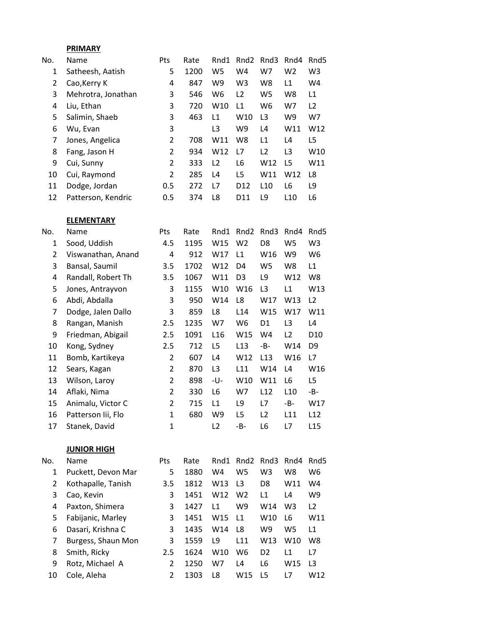## **PRIMARY**

| No. | <b>Name</b>        | Pts            | Rate | Rnd1           | Rnd <sub>2</sub> | Rnd3           | Rnd4            | Rnd5            |
|-----|--------------------|----------------|------|----------------|------------------|----------------|-----------------|-----------------|
| 1   | Satheesh, Aatish   | 5              | 1200 | W <sub>5</sub> | W <sub>4</sub>   | W7             | W <sub>2</sub>  | W <sub>3</sub>  |
| 2   | Cao, Kerry K       | 4              | 847  | W9             | W <sub>3</sub>   | W8             | L1              | W4              |
| 3   | Mehrotra, Jonathan | 3              | 546  | W6             | L <sub>2</sub>   | W <sub>5</sub> | W8              | L1              |
| 4   | Liu, Ethan         | 3              | 720  | W10            | L1               | W6             | W7              | L <sub>2</sub>  |
| 5   | Salimin, Shaeb     | 3              | 463  | L1             | W10              | L3             | W9              | W7              |
| 6   | Wu, Evan           | 3              |      | L3             | W9               | L4             | W11             | W12             |
| 7   | Jones, Angelica    | 2              | 708  | W11            | W8               | L1             | L <sub>4</sub>  | L5              |
| 8   | Fang, Jason H      | $\overline{2}$ | 934  | W12            | L7               | L <sub>2</sub> | L3              | W <sub>10</sub> |
| 9   | Cui, Sunny         | 2              | 333  | L <sub>2</sub> | L6               | W12            | L5              | W11             |
| 10  | Cui, Raymond       | 2              | 285  | L4             | L <sub>5</sub>   | W11            | W <sub>12</sub> | L8              |
| 11  | Dodge, Jordan      | 0.5            | 272  | L7             | D <sub>12</sub>  | L10            | L6              | L9              |
| 12  | Patterson, Kendric | 0.5            | 374  | L8             | D <sub>11</sub>  | L9             | L10             | L6              |

## **ELEMENTARY**

| No. | Name               | Pts | Rate | Rnd1            | Rnd <sub>2</sub> | Rnd3           | Rnd4           | Rnd <sub>5</sub> |
|-----|--------------------|-----|------|-----------------|------------------|----------------|----------------|------------------|
| 1   | Sood, Uddish       | 4.5 | 1195 | W15             | W <sub>2</sub>   | D8             | W5             | W3               |
| 2   | Viswanathan, Anand | 4   | 912  | W17             | L1               | W16            | W9             | W <sub>6</sub>   |
| 3   | Bansal, Saumil     | 3.5 | 1702 | W12             | D4               | W5             | W8             | L1               |
| 4   | Randall, Robert Th | 3.5 | 1067 | W11             | D <sub>3</sub>   | L9             | W12            | W8               |
| 5   | Jones, Antrayvon   | 3   | 1155 | W10             | W16              | L <sub>3</sub> | L1             | W13              |
| 6   | Abdi, Abdalla      | 3   | 950  | W14             | L8               | W17            | W13            | L <sub>2</sub>   |
| 7   | Dodge, Jalen Dallo | 3   | 859  | L8              | L14              | W15            | W17            | W11              |
| 8   | Rangan, Manish     | 2.5 | 1235 | W7              | W6               | D1             | L <sub>3</sub> | L4               |
| 9   | Friedman, Abigail  | 2.5 | 1091 | L <sub>16</sub> | W15              | W4             | L2             | D <sub>10</sub>  |
| 10  | Kong, Sydney       | 2.5 | 712  | L5              | L <sub>13</sub>  | -B-            | W14            | D9               |
| 11  | Bomb, Kartikeya    | 2   | 607  | L4              | W12              | L13            | W16            | L7               |
| 12  | Sears, Kagan       | 2   | 870  | L <sub>3</sub>  | L11              | W14            | L4             | W16              |
| 13  | Wilson, Laroy      | 2   | 898  | -U-             | W10              | W11            | L6             | L5               |
| 14  | Aflaki, Nima       | 2   | 330  | L6              | W7               | L12            | L10            | -B-              |
| 15  | Animalu, Victor C  | 2   | 715  | L1              | L9               | L7             | $-B-$          | W17              |
| 16  | Patterson lii, Flo | 1   | 680  | W9              | L5               | L2             | L11            | L12              |
| 17  | Stanek, David      | 1   |      | L <sub>2</sub>  | -B-              | L6             | L7             | L15              |
|     |                    |     |      |                 |                  |                |                |                  |

## **JUNIOR HIGH**

| No. | Name               | Pts | Rate |     | Rnd1 Rnd2 Rnd3 |                | Rnd4           | Rnd <sub>5</sub> |
|-----|--------------------|-----|------|-----|----------------|----------------|----------------|------------------|
| 1   | Puckett, Devon Mar | 5   | 1880 | W4  | W5             | W3             | W8             | W6               |
| 2   | Kothapalle, Tanish | 3.5 | 1812 | W13 | L3             | D8             | W11            | W4               |
| 3   | Cao, Kevin         | 3   | 1451 | W12 | W <sub>2</sub> | L1             | L4             | W9               |
| 4   | Paxton, Shimera    | 3   | 1427 | L1  | W9             | W14            | W <sub>3</sub> | L2               |
| 5   | Fabijanic, Marley  | 3   | 1451 | W15 | L1             | W10            | L6             | W11              |
| 6   | Dasari, Krishna C  | 3   | 1435 | W14 | L8             | W9             | W5             | L1               |
|     | Burgess, Shaun Mon | 3   | 1559 | L9  | L11            | W13            | W10            | W8               |
| 8   | Smith, Ricky       | 2.5 | 1624 | W10 | W6             | D <sub>2</sub> | L <sub>1</sub> | L7               |
| 9   | Rotz, Michael A    | 2   | 1250 | W7  | L4             | L6             | W15            | L3               |
| 10  | Cole, Aleha        | 2   | 1303 | L8  | W15            | L5             | L7             | W12              |
|     |                    |     |      |     |                |                |                |                  |